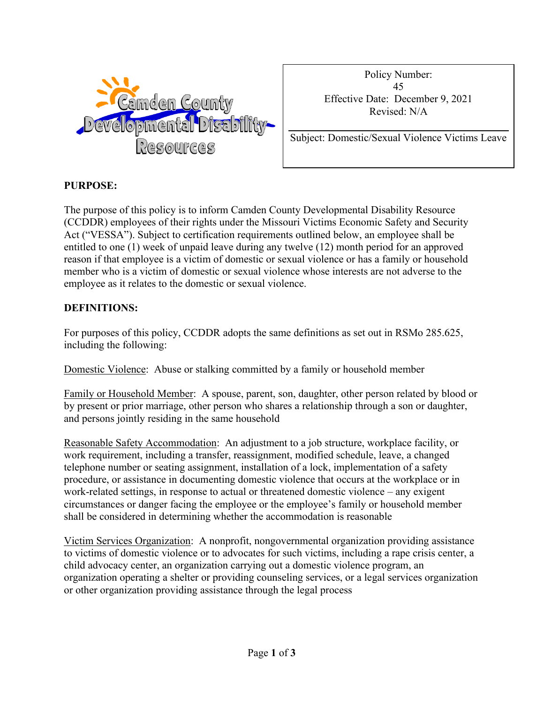

Policy Number: 45 Effective Date: December 9, 2021 Revised: N/A

Subject: Domestic/Sexual Violence Victims Leave

### **PURPOSE:**

The purpose of this policy is to inform Camden County Developmental Disability Resource (CCDDR) employees of their rights under the Missouri Victims Economic Safety and Security Act ("VESSA"). Subject to certification requirements outlined below, an employee shall be entitled to one (1) week of unpaid leave during any twelve (12) month period for an approved reason if that employee is a victim of domestic or sexual violence or has a family or household member who is a victim of domestic or sexual violence whose interests are not adverse to the employee as it relates to the domestic or sexual violence.

### **DEFINITIONS:**

For purposes of this policy, CCDDR adopts the same definitions as set out in RSMo 285.625, including the following:

Domestic Violence: Abuse or stalking committed by a family or household member

Family or Household Member: A spouse, parent, son, daughter, other person related by blood or by present or prior marriage, other person who shares a relationship through a son or daughter, and persons jointly residing in the same household

Reasonable Safety Accommodation: An adjustment to a job structure, workplace facility, or work requirement, including a transfer, reassignment, modified schedule, leave, a changed telephone number or seating assignment, installation of a lock, implementation of a safety procedure, or assistance in documenting domestic violence that occurs at the workplace or in work-related settings, in response to actual or threatened domestic violence – any exigent circumstances or danger facing the employee or the employee's family or household member shall be considered in determining whether the accommodation is reasonable

Victim Services Organization: A nonprofit, nongovernmental organization providing assistance to victims of domestic violence or to advocates for such victims, including a rape crisis center, a child advocacy center, an organization carrying out a domestic violence program, an organization operating a shelter or providing counseling services, or a legal services organization or other organization providing assistance through the legal process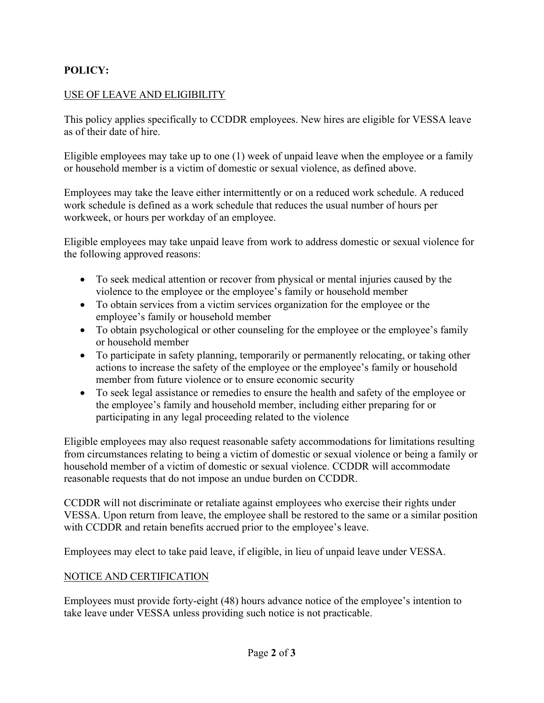## **POLICY:**

### USE OF LEAVE AND ELIGIBILITY

This policy applies specifically to CCDDR employees. New hires are eligible for VESSA leave as of their date of hire.

Eligible employees may take up to one (1) week of unpaid leave when the employee or a family or household member is a victim of domestic or sexual violence, as defined above.

Employees may take the leave either intermittently or on a reduced work schedule. A reduced work schedule is defined as a work schedule that reduces the usual number of hours per workweek, or hours per workday of an employee.

Eligible employees may take unpaid leave from work to address domestic or sexual violence for the following approved reasons:

- To seek medical attention or recover from physical or mental injuries caused by the violence to the employee or the employee's family or household member
- To obtain services from a victim services organization for the employee or the employee's family or household member
- To obtain psychological or other counseling for the employee or the employee's family or household member
- To participate in safety planning, temporarily or permanently relocating, or taking other actions to increase the safety of the employee or the employee's family or household member from future violence or to ensure economic security
- To seek legal assistance or remedies to ensure the health and safety of the employee or the employee's family and household member, including either preparing for or participating in any legal proceeding related to the violence

Eligible employees may also request reasonable safety accommodations for limitations resulting from circumstances relating to being a victim of domestic or sexual violence or being a family or household member of a victim of domestic or sexual violence. CCDDR will accommodate reasonable requests that do not impose an undue burden on CCDDR.

CCDDR will not discriminate or retaliate against employees who exercise their rights under VESSA. Upon return from leave, the employee shall be restored to the same or a similar position with CCDDR and retain benefits accrued prior to the employee's leave.

Employees may elect to take paid leave, if eligible, in lieu of unpaid leave under VESSA.

#### NOTICE AND CERTIFICATION

Employees must provide forty-eight (48) hours advance notice of the employee's intention to take leave under VESSA unless providing such notice is not practicable.